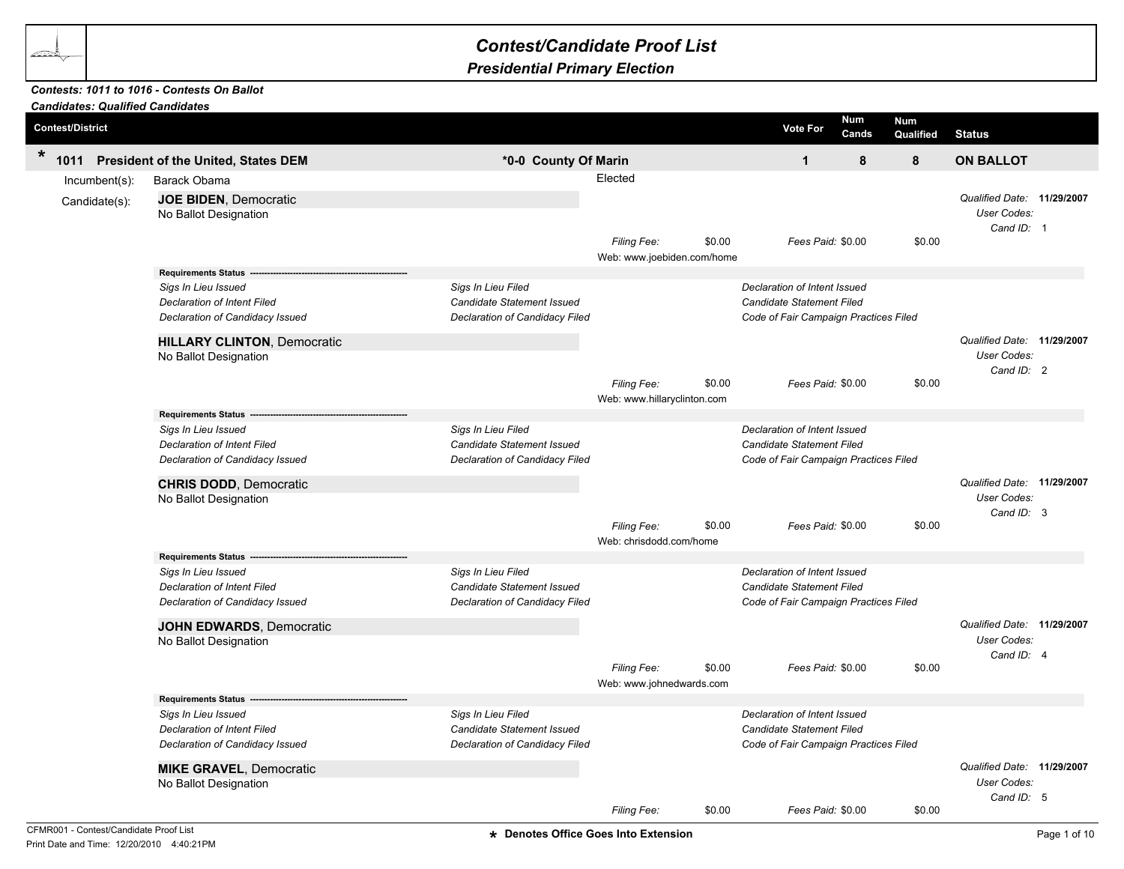## *Contest/Candidate Proof List*

## *Presidential Primary Election*

## *Contests: 1011 to 1016 - Contests On Ballot*

|                         |                                   | <b>Candidates: Qualified Candidates</b>                                                      |                                                                                           |                                            |        |                                                                                                           |                  |                                                         |  |
|-------------------------|-----------------------------------|----------------------------------------------------------------------------------------------|-------------------------------------------------------------------------------------------|--------------------------------------------|--------|-----------------------------------------------------------------------------------------------------------|------------------|---------------------------------------------------------|--|
| <b>Contest/District</b> |                                   |                                                                                              |                                                                                           |                                            |        | <b>Num</b><br><b>Vote For</b><br>Cands                                                                    | Num<br>Qualified | <b>Status</b>                                           |  |
| $\ast$<br>1011          |                                   | President of the United, States DEM                                                          | *0-0 County Of Marin                                                                      |                                            |        | $\mathbf{1}$                                                                                              | 8<br>8           | <b>ON BALLOT</b>                                        |  |
|                         | $Incumbent(s)$ :<br>Candidate(s): | <b>Barack Obama</b><br>JOE BIDEN, Democratic<br>No Ballot Designation                        |                                                                                           | Elected<br>Filing Fee:                     | \$0.00 | Fees Paid: \$0.00                                                                                         | \$0.00           | Qualified Date: 11/29/2007<br>User Codes:<br>Cand ID: 1 |  |
|                         |                                   |                                                                                              |                                                                                           | Web: www.joebiden.com/home                 |        |                                                                                                           |                  |                                                         |  |
|                         |                                   | <b>Requirements Status</b>                                                                   |                                                                                           |                                            |        |                                                                                                           |                  |                                                         |  |
|                         |                                   | Sigs In Lieu Issued<br>Declaration of Intent Filed<br>Declaration of Candidacy Issued        | Sigs In Lieu Filed<br>Candidate Statement Issued<br>Declaration of Candidacy Filed        |                                            |        | Declaration of Intent Issued<br><b>Candidate Statement Filed</b><br>Code of Fair Campaign Practices Filed |                  |                                                         |  |
|                         |                                   | <b>HILLARY CLINTON, Democratic</b><br>No Ballot Designation                                  |                                                                                           |                                            |        |                                                                                                           |                  | Qualified Date: 11/29/2007<br>User Codes:<br>Cand ID: 2 |  |
|                         |                                   |                                                                                              |                                                                                           | Filing Fee:<br>Web: www.hillaryclinton.com | \$0.00 | Fees Paid: \$0.00                                                                                         | \$0.00           |                                                         |  |
|                         |                                   | <b>Requirements Status</b>                                                                   |                                                                                           |                                            |        |                                                                                                           |                  |                                                         |  |
|                         |                                   | Sigs In Lieu Issued<br><b>Declaration of Intent Filed</b><br>Declaration of Candidacy Issued | Sigs In Lieu Filed<br><b>Candidate Statement Issued</b><br>Declaration of Candidacy Filed |                                            |        | Declaration of Intent Issued<br>Candidate Statement Filed<br>Code of Fair Campaign Practices Filed        |                  |                                                         |  |
|                         |                                   | <b>CHRIS DODD, Democratic</b><br>No Ballot Designation                                       |                                                                                           |                                            |        |                                                                                                           |                  | Qualified Date: 11/29/2007<br>User Codes:<br>Cand ID: 3 |  |
|                         |                                   |                                                                                              |                                                                                           | Filing Fee:<br>Web: chrisdodd.com/home     | \$0.00 | Fees Paid: \$0.00                                                                                         | \$0.00           |                                                         |  |
|                         |                                   | <b>Requirements Status</b>                                                                   |                                                                                           |                                            |        |                                                                                                           |                  |                                                         |  |
|                         |                                   | Sigs In Lieu Issued                                                                          | Sigs In Lieu Filed                                                                        |                                            |        | Declaration of Intent Issued                                                                              |                  |                                                         |  |
|                         |                                   | <b>Declaration of Intent Filed</b><br>Declaration of Candidacy Issued                        | Candidate Statement Issued<br>Declaration of Candidacy Filed                              |                                            |        | Candidate Statement Filed<br>Code of Fair Campaign Practices Filed                                        |                  |                                                         |  |
|                         |                                   | <b>JOHN EDWARDS, Democratic</b><br>No Ballot Designation                                     |                                                                                           |                                            |        |                                                                                                           |                  | Qualified Date: 11/29/2007<br>User Codes:               |  |
|                         |                                   |                                                                                              |                                                                                           | Filing Fee:<br>Web: www.johnedwards.com    | \$0.00 | Fees Paid: \$0.00                                                                                         | \$0.00           | Cand ID: 4                                              |  |
|                         |                                   | <b>Requirements Status</b>                                                                   |                                                                                           |                                            |        |                                                                                                           |                  |                                                         |  |
|                         |                                   | Sigs In Lieu Issued<br><b>Declaration of Intent Filed</b><br>Declaration of Candidacy Issued | Sigs In Lieu Filed<br>Candidate Statement Issued<br>Declaration of Candidacy Filed        |                                            |        | Declaration of Intent Issued<br>Candidate Statement Filed<br>Code of Fair Campaign Practices Filed        |                  |                                                         |  |
|                         |                                   | <b>MIKE GRAVEL, Democratic</b><br>No Ballot Designation                                      |                                                                                           |                                            |        |                                                                                                           |                  | Qualified Date: 11/29/2007<br>User Codes:<br>Cand ID: 5 |  |
|                         |                                   |                                                                                              |                                                                                           | Filing Fee:                                | \$0.00 | Fees Paid: \$0.00                                                                                         | \$0.00           |                                                         |  |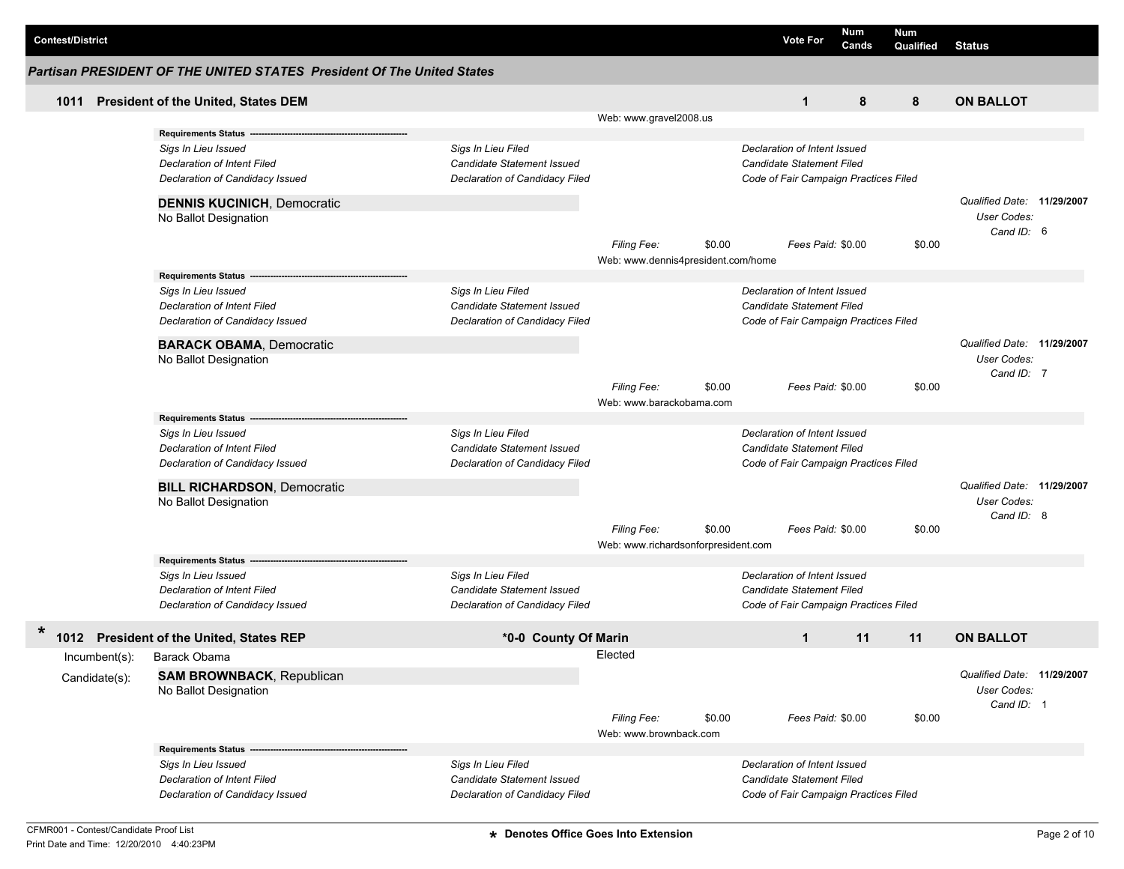| <b>Contest/District</b> |                                                                        |                                   |                                     |        | <b>Vote For</b>                       | <b>Num</b><br>Cands | Num<br>Qualified | <b>Status</b>              |  |
|-------------------------|------------------------------------------------------------------------|-----------------------------------|-------------------------------------|--------|---------------------------------------|---------------------|------------------|----------------------------|--|
|                         | Partisan PRESIDENT OF THE UNITED STATES President Of The United States |                                   |                                     |        |                                       |                     |                  |                            |  |
| 1011                    | President of the United, States DEM                                    |                                   |                                     |        | $\mathbf{1}$                          | 8                   | 8                | <b>ON BALLOT</b>           |  |
|                         |                                                                        |                                   | Web: www.gravel2008.us              |        |                                       |                     |                  |                            |  |
|                         | <b>Requirements Status</b>                                             |                                   |                                     |        |                                       |                     |                  |                            |  |
|                         | Sigs In Lieu Issued                                                    | Sigs In Lieu Filed                |                                     |        | Declaration of Intent Issued          |                     |                  |                            |  |
|                         | Declaration of Intent Filed                                            | Candidate Statement Issued        |                                     |        | Candidate Statement Filed             |                     |                  |                            |  |
|                         | Declaration of Candidacy Issued                                        | Declaration of Candidacy Filed    |                                     |        | Code of Fair Campaign Practices Filed |                     |                  |                            |  |
|                         | <b>DENNIS KUCINICH, Democratic</b>                                     |                                   |                                     |        |                                       |                     |                  | Qualified Date: 11/29/2007 |  |
|                         | No Ballot Designation                                                  |                                   |                                     |        |                                       |                     |                  | User Codes:                |  |
|                         |                                                                        |                                   |                                     |        |                                       |                     |                  | Cand ID: 6                 |  |
|                         |                                                                        |                                   | <b>Filing Fee:</b>                  | \$0.00 |                                       | Fees Paid: \$0.00   | \$0.00           |                            |  |
|                         |                                                                        |                                   | Web: www.dennis4president.com/home  |        |                                       |                     |                  |                            |  |
|                         | Requirements Status ---                                                |                                   |                                     |        |                                       |                     |                  |                            |  |
|                         | Sigs In Lieu Issued                                                    | Sigs In Lieu Filed                |                                     |        | Declaration of Intent Issued          |                     |                  |                            |  |
|                         | <b>Declaration of Intent Filed</b>                                     | Candidate Statement Issued        |                                     |        | Candidate Statement Filed             |                     |                  |                            |  |
|                         | Declaration of Candidacy Issued                                        | Declaration of Candidacy Filed    |                                     |        | Code of Fair Campaign Practices Filed |                     |                  |                            |  |
|                         | <b>BARACK OBAMA, Democratic</b>                                        |                                   |                                     |        |                                       |                     |                  | Qualified Date: 11/29/2007 |  |
|                         | No Ballot Designation                                                  |                                   |                                     |        |                                       |                     |                  | User Codes:                |  |
|                         |                                                                        |                                   |                                     |        |                                       |                     |                  | Cand ID: 7                 |  |
|                         |                                                                        |                                   | Filing Fee:                         | \$0.00 |                                       | Fees Paid: \$0.00   | \$0.00           |                            |  |
|                         |                                                                        |                                   | Web: www.barackobama.com            |        |                                       |                     |                  |                            |  |
|                         | <b>Requirements Status</b>                                             |                                   |                                     |        |                                       |                     |                  |                            |  |
|                         | Sigs In Lieu Issued                                                    | Sigs In Lieu Filed                |                                     |        | Declaration of Intent Issued          |                     |                  |                            |  |
|                         | Declaration of Intent Filed                                            | Candidate Statement Issued        |                                     |        | Candidate Statement Filed             |                     |                  |                            |  |
|                         | Declaration of Candidacy Issued                                        | Declaration of Candidacy Filed    |                                     |        | Code of Fair Campaign Practices Filed |                     |                  |                            |  |
|                         | <b>BILL RICHARDSON, Democratic</b>                                     |                                   |                                     |        |                                       |                     |                  | Qualified Date: 11/29/2007 |  |
|                         | No Ballot Designation                                                  |                                   |                                     |        |                                       |                     |                  | <b>User Codes:</b>         |  |
|                         |                                                                        |                                   | Filing Fee:                         | \$0.00 |                                       | Fees Paid: \$0.00   | \$0.00           | Cand ID: 8                 |  |
|                         |                                                                        |                                   | Web: www.richardsonforpresident.com |        |                                       |                     |                  |                            |  |
|                         | <b>Requirements Status</b>                                             |                                   |                                     |        |                                       |                     |                  |                            |  |
|                         | Sigs In Lieu Issued                                                    | Sigs In Lieu Filed                |                                     |        | Declaration of Intent Issued          |                     |                  |                            |  |
|                         | Declaration of Intent Filed                                            | <b>Candidate Statement Issued</b> |                                     |        | <b>Candidate Statement Filed</b>      |                     |                  |                            |  |
|                         | Declaration of Candidacy Issued                                        | Declaration of Candidacy Filed    |                                     |        | Code of Fair Campaign Practices Filed |                     |                  |                            |  |
|                         |                                                                        |                                   |                                     |        |                                       |                     |                  |                            |  |
| $\ast$                  | 1012 President of the United, States REP                               | *0-0 County Of Marin              |                                     |        | $\mathbf{1}$                          | 11                  | 11               | <b>ON BALLOT</b>           |  |
| Incumbent(s):           | Barack Obama                                                           |                                   | Elected                             |        |                                       |                     |                  |                            |  |
| Candidate(s):           | <b>SAM BROWNBACK, Republican</b>                                       |                                   |                                     |        |                                       |                     |                  | Qualified Date: 11/29/2007 |  |
|                         | No Ballot Designation                                                  |                                   |                                     |        |                                       |                     |                  | User Codes:                |  |
|                         |                                                                        |                                   |                                     |        |                                       |                     |                  | Cand ID: 1                 |  |
|                         |                                                                        |                                   | Filing Fee:                         | \$0.00 |                                       | Fees Paid: \$0.00   | \$0.00           |                            |  |
|                         |                                                                        |                                   | Web: www.brownback.com              |        |                                       |                     |                  |                            |  |
|                         | Requirements Status --                                                 |                                   |                                     |        |                                       |                     |                  |                            |  |
|                         | Sigs In Lieu Issued                                                    | Sigs In Lieu Filed                |                                     |        | Declaration of Intent Issued          |                     |                  |                            |  |
|                         | Declaration of Intent Filed                                            | Candidate Statement Issued        |                                     |        | Candidate Statement Filed             |                     |                  |                            |  |
|                         | Declaration of Candidacy Issued                                        | Declaration of Candidacy Filed    |                                     |        | Code of Fair Campaign Practices Filed |                     |                  |                            |  |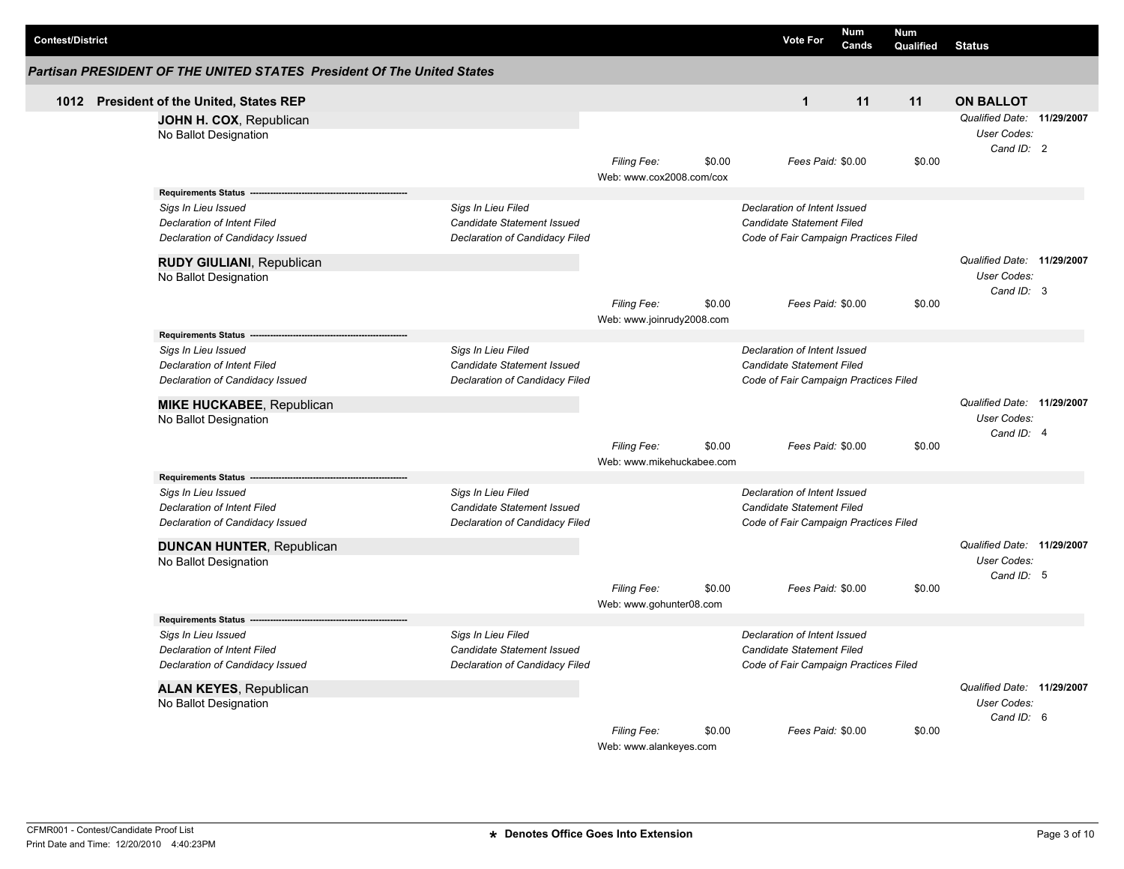| <b>Contest/District</b> |                                                                                                                                                    |                                                                                           |                                          |        | Vote For                                                                                           | <b>Num</b><br>Cands | <b>Num</b><br>Qualified | <b>Status</b>                                           |  |
|-------------------------|----------------------------------------------------------------------------------------------------------------------------------------------------|-------------------------------------------------------------------------------------------|------------------------------------------|--------|----------------------------------------------------------------------------------------------------|---------------------|-------------------------|---------------------------------------------------------|--|
|                         | Partisan PRESIDENT OF THE UNITED STATES President Of The United States                                                                             |                                                                                           |                                          |        |                                                                                                    |                     |                         |                                                         |  |
|                         | 1012 President of the United, States REP                                                                                                           |                                                                                           |                                          |        | $\mathbf{1}$                                                                                       | 11                  | 11                      | <b>ON BALLOT</b>                                        |  |
|                         | JOHN H. COX, Republican<br>No Ballot Designation                                                                                                   |                                                                                           | Filing Fee:<br>Web: www.cox2008.com/cox  | \$0.00 | Fees Paid: \$0.00                                                                                  |                     | \$0.00                  | Qualified Date: 11/29/2007<br>User Codes:<br>Cand ID: 2 |  |
|                         | Requirements Status --                                                                                                                             |                                                                                           |                                          |        |                                                                                                    |                     |                         |                                                         |  |
|                         | Sigs In Lieu Issued<br>Declaration of Intent Filed<br>Declaration of Candidacy Issued<br><b>RUDY GIULIANI, Republican</b><br>No Ballot Designation | Sigs In Lieu Filed<br>Candidate Statement Issued<br>Declaration of Candidacy Filed        |                                          |        | Declaration of Intent Issued<br>Candidate Statement Filed<br>Code of Fair Campaign Practices Filed |                     |                         | Qualified Date: 11/29/2007<br>User Codes:<br>Cand ID: 3 |  |
|                         |                                                                                                                                                    |                                                                                           | Filing Fee:<br>Web: www.joinrudy2008.com | \$0.00 | Fees Paid: \$0.00                                                                                  |                     | \$0.00                  |                                                         |  |
|                         | <b>Requirements Status</b>                                                                                                                         |                                                                                           |                                          |        |                                                                                                    |                     |                         |                                                         |  |
|                         | Sigs In Lieu Issued<br>Declaration of Intent Filed<br>Declaration of Candidacy Issued                                                              | Sigs In Lieu Filed<br><b>Candidate Statement Issued</b><br>Declaration of Candidacy Filed |                                          |        | Declaration of Intent Issued<br>Candidate Statement Filed<br>Code of Fair Campaign Practices Filed |                     |                         |                                                         |  |
|                         | <b>MIKE HUCKABEE, Republican</b><br>No Ballot Designation                                                                                          |                                                                                           | Filing Fee:                              | \$0.00 | Fees Paid: \$0.00                                                                                  |                     | \$0.00                  | Qualified Date: 11/29/2007<br>User Codes:<br>Cand ID: 4 |  |
|                         |                                                                                                                                                    |                                                                                           | Web: www.mikehuckabee.com                |        |                                                                                                    |                     |                         |                                                         |  |
|                         | <b>Requirements Status</b><br>Sigs In Lieu Issued<br>Declaration of Intent Filed<br>Declaration of Candidacy Issued                                | Sigs In Lieu Filed<br>Candidate Statement Issued<br>Declaration of Candidacy Filed        |                                          |        | Declaration of Intent Issued<br>Candidate Statement Filed<br>Code of Fair Campaign Practices Filed |                     |                         |                                                         |  |
|                         | <b>DUNCAN HUNTER, Republican</b><br>No Ballot Designation                                                                                          |                                                                                           |                                          |        |                                                                                                    |                     |                         | Qualified Date: 11/29/2007<br>User Codes:<br>Cand ID: 5 |  |
|                         |                                                                                                                                                    |                                                                                           | Filing Fee:<br>Web: www.gohunter08.com   | \$0.00 | Fees Paid: \$0.00                                                                                  |                     | \$0.00                  |                                                         |  |
|                         | Requirements Status -                                                                                                                              |                                                                                           |                                          |        |                                                                                                    |                     |                         |                                                         |  |
|                         | Sigs In Lieu Issued<br>Declaration of Intent Filed<br>Declaration of Candidacy Issued                                                              | Sigs In Lieu Filed<br><b>Candidate Statement Issued</b><br>Declaration of Candidacy Filed |                                          |        | Declaration of Intent Issued<br>Candidate Statement Filed<br>Code of Fair Campaign Practices Filed |                     |                         |                                                         |  |
|                         | <b>ALAN KEYES, Republican</b><br>No Ballot Designation                                                                                             |                                                                                           |                                          |        |                                                                                                    |                     |                         | Qualified Date: 11/29/2007<br>User Codes:<br>Cand ID: 6 |  |
|                         |                                                                                                                                                    |                                                                                           | Filing Fee:<br>Web: www.alankeyes.com    | \$0.00 | Fees Paid: \$0.00                                                                                  |                     | \$0.00                  |                                                         |  |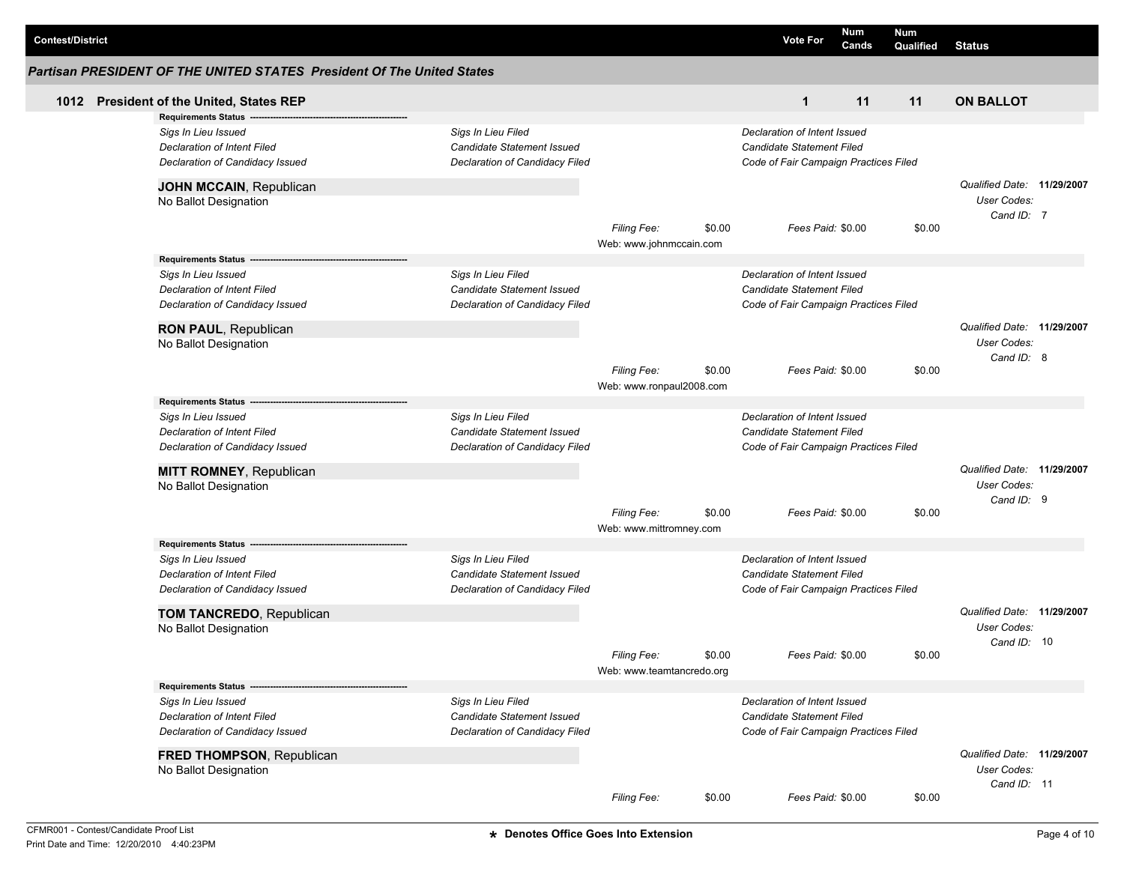| <b>Contest/District</b> |                                                                        |                                |                                        |        | <b>Vote For</b>                       | Num<br>Cands | Num<br><b>Qualified</b> | <b>Status</b>              |  |
|-------------------------|------------------------------------------------------------------------|--------------------------------|----------------------------------------|--------|---------------------------------------|--------------|-------------------------|----------------------------|--|
|                         | Partisan PRESIDENT OF THE UNITED STATES President Of The United States |                                |                                        |        |                                       |              |                         |                            |  |
|                         | 1012 President of the United, States REP                               |                                |                                        |        | $\mathbf{1}$                          | 11           | 11                      | <b>ON BALLOT</b>           |  |
|                         | <b>Requirements Status</b>                                             |                                |                                        |        |                                       |              |                         |                            |  |
|                         | Sigs In Lieu Issued                                                    | Sigs In Lieu Filed             |                                        |        | Declaration of Intent Issued          |              |                         |                            |  |
|                         | Declaration of Intent Filed                                            | Candidate Statement Issued     |                                        |        | Candidate Statement Filed             |              |                         |                            |  |
|                         | Declaration of Candidacy Issued                                        | Declaration of Candidacy Filed |                                        |        | Code of Fair Campaign Practices Filed |              |                         |                            |  |
|                         | JOHN MCCAIN, Republican                                                |                                |                                        |        |                                       |              |                         | Qualified Date: 11/29/2007 |  |
|                         | No Ballot Designation                                                  |                                |                                        |        |                                       |              |                         | User Codes:                |  |
|                         |                                                                        |                                | Filing Fee:                            | \$0.00 | Fees Paid: \$0.00                     |              | \$0.00                  | Cand ID: 7                 |  |
|                         |                                                                        |                                | Web: www.johnmccain.com                |        |                                       |              |                         |                            |  |
|                         | <b>Requirements Status</b>                                             |                                |                                        |        |                                       |              |                         |                            |  |
|                         | Sigs In Lieu Issued                                                    | Sigs In Lieu Filed             |                                        |        | Declaration of Intent Issued          |              |                         |                            |  |
|                         | Declaration of Intent Filed                                            | Candidate Statement Issued     |                                        |        | Candidate Statement Filed             |              |                         |                            |  |
|                         | Declaration of Candidacy Issued                                        | Declaration of Candidacy Filed |                                        |        | Code of Fair Campaign Practices Filed |              |                         |                            |  |
|                         | RON PAUL, Republican                                                   |                                |                                        |        |                                       |              |                         | Qualified Date: 11/29/2007 |  |
|                         | No Ballot Designation                                                  |                                |                                        |        |                                       |              |                         | User Codes:                |  |
|                         |                                                                        |                                | Filing Fee:                            | \$0.00 | Fees Paid: \$0.00                     |              | \$0.00                  | Cand ID: 8                 |  |
|                         |                                                                        |                                | Web: www.ronpaul2008.com               |        |                                       |              |                         |                            |  |
|                         | <b>Requirements Status --</b>                                          |                                |                                        |        |                                       |              |                         |                            |  |
|                         | Sigs In Lieu Issued                                                    | Sigs In Lieu Filed             |                                        |        | Declaration of Intent Issued          |              |                         |                            |  |
|                         | Declaration of Intent Filed                                            | Candidate Statement Issued     |                                        |        | Candidate Statement Filed             |              |                         |                            |  |
|                         | Declaration of Candidacy Issued                                        | Declaration of Candidacy Filed |                                        |        | Code of Fair Campaign Practices Filed |              |                         |                            |  |
|                         | <b>MITT ROMNEY, Republican</b>                                         |                                |                                        |        |                                       |              |                         | Qualified Date: 11/29/2007 |  |
|                         | No Ballot Designation                                                  |                                |                                        |        |                                       |              |                         | User Codes:                |  |
|                         |                                                                        |                                |                                        | \$0.00 | Fees Paid: \$0.00                     |              | \$0.00                  | Cand ID: 9                 |  |
|                         |                                                                        |                                | Filing Fee:<br>Web: www.mittromney.com |        |                                       |              |                         |                            |  |
|                         | <b>Requirements Status</b>                                             |                                |                                        |        |                                       |              |                         |                            |  |
|                         | Sigs In Lieu Issued                                                    | Sigs In Lieu Filed             |                                        |        | Declaration of Intent Issued          |              |                         |                            |  |
|                         | Declaration of Intent Filed                                            | Candidate Statement Issued     |                                        |        | Candidate Statement Filed             |              |                         |                            |  |
|                         | Declaration of Candidacy Issued                                        | Declaration of Candidacy Filed |                                        |        | Code of Fair Campaign Practices Filed |              |                         |                            |  |
|                         | <b>TOM TANCREDO, Republican</b>                                        |                                |                                        |        |                                       |              |                         | Qualified Date: 11/29/2007 |  |
|                         | No Ballot Designation                                                  |                                |                                        |        |                                       |              |                         | User Codes:                |  |
|                         |                                                                        |                                | Filing Fee:                            | \$0.00 | Fees Paid: \$0.00                     |              | \$0.00                  | Cand ID: 10                |  |
|                         |                                                                        |                                | Web: www.teamtancredo.org              |        |                                       |              |                         |                            |  |
|                         | Requirements Status -                                                  |                                |                                        |        |                                       |              |                         |                            |  |
|                         | Sigs In Lieu Issued                                                    | Sigs In Lieu Filed             |                                        |        | Declaration of Intent Issued          |              |                         |                            |  |
|                         | Declaration of Intent Filed                                            | Candidate Statement Issued     |                                        |        | Candidate Statement Filed             |              |                         |                            |  |
|                         | Declaration of Candidacy Issued                                        | Declaration of Candidacy Filed |                                        |        | Code of Fair Campaign Practices Filed |              |                         |                            |  |
|                         | FRED THOMPSON, Republican                                              |                                |                                        |        |                                       |              |                         | Qualified Date: 11/29/2007 |  |
|                         | No Ballot Designation                                                  |                                |                                        |        |                                       |              |                         | User Codes:                |  |
|                         |                                                                        |                                |                                        |        |                                       |              |                         | Cand ID: 11                |  |
|                         |                                                                        |                                | Filing Fee:                            | \$0.00 | Fees Paid: \$0.00                     |              | \$0.00                  |                            |  |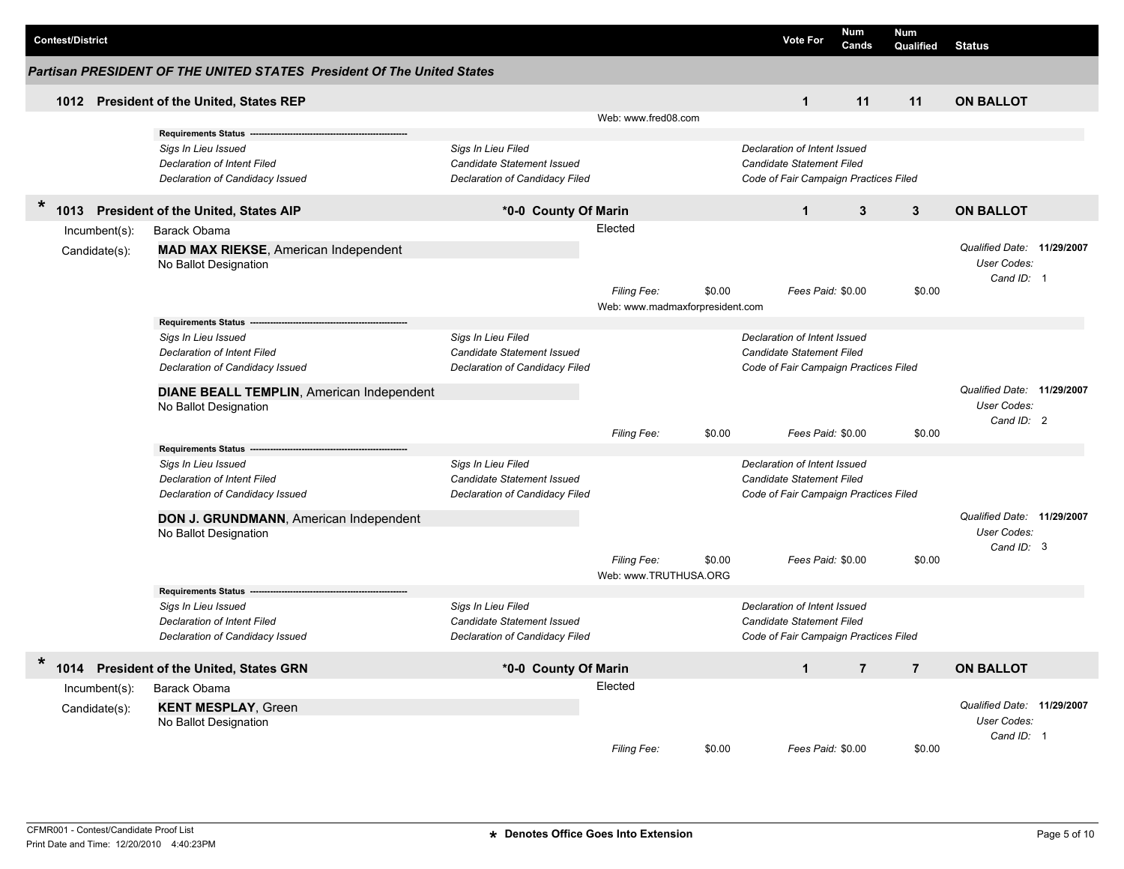| <b>Contest/District</b> |                                                                        |                                   |                       |                                 | <b>Vote For</b>                       | Num<br>Cands   | <b>Num</b><br>Qualified | <b>Status</b>              |  |
|-------------------------|------------------------------------------------------------------------|-----------------------------------|-----------------------|---------------------------------|---------------------------------------|----------------|-------------------------|----------------------------|--|
|                         | Partisan PRESIDENT OF THE UNITED STATES President Of The United States |                                   |                       |                                 |                                       |                |                         |                            |  |
| 1012                    | President of the United, States REP                                    |                                   |                       |                                 | $\mathbf{1}$                          | 11             | 11                      | <b>ON BALLOT</b>           |  |
|                         |                                                                        |                                   | Web: www.fred08.com   |                                 |                                       |                |                         |                            |  |
|                         | <b>Requirements Status</b>                                             |                                   |                       |                                 |                                       |                |                         |                            |  |
|                         | Sigs In Lieu Issued                                                    | Sigs In Lieu Filed                |                       |                                 | Declaration of Intent Issued          |                |                         |                            |  |
|                         | <b>Declaration of Intent Filed</b>                                     | Candidate Statement Issued        |                       |                                 | <b>Candidate Statement Filed</b>      |                |                         |                            |  |
|                         | Declaration of Candidacy Issued                                        | Declaration of Candidacy Filed    |                       |                                 | Code of Fair Campaign Practices Filed |                |                         |                            |  |
|                         |                                                                        |                                   |                       |                                 |                                       |                |                         |                            |  |
| $\ast$<br>1013          | <b>President of the United, States AIP</b>                             | *0-0 County Of Marin              |                       |                                 | $\mathbf{1}$                          | $\mathbf{3}$   | 3                       | <b>ON BALLOT</b>           |  |
| Incumbent(s):           | Barack Obama                                                           |                                   | Elected               |                                 |                                       |                |                         |                            |  |
| Candidate(s):           | <b>MAD MAX RIEKSE, American Independent</b>                            |                                   |                       |                                 |                                       |                |                         | Qualified Date: 11/29/2007 |  |
|                         | No Ballot Designation                                                  |                                   |                       |                                 |                                       |                |                         | User Codes:                |  |
|                         |                                                                        |                                   |                       |                                 |                                       |                |                         | Cand ID: 1                 |  |
|                         |                                                                        |                                   | Filing Fee:           | \$0.00                          | Fees Paid: \$0.00                     |                | \$0.00                  |                            |  |
|                         |                                                                        |                                   |                       | Web: www.madmaxforpresident.com |                                       |                |                         |                            |  |
|                         | <b>Requirements Status</b>                                             |                                   |                       |                                 |                                       |                |                         |                            |  |
|                         | Sigs In Lieu Issued                                                    | Sigs In Lieu Filed                |                       |                                 | Declaration of Intent Issued          |                |                         |                            |  |
|                         | <b>Declaration of Intent Filed</b>                                     | <b>Candidate Statement Issued</b> |                       |                                 | Candidate Statement Filed             |                |                         |                            |  |
|                         | Declaration of Candidacy Issued                                        | Declaration of Candidacy Filed    |                       |                                 | Code of Fair Campaign Practices Filed |                |                         |                            |  |
|                         | <b>DIANE BEALL TEMPLIN, American Independent</b>                       |                                   |                       |                                 |                                       |                |                         | Qualified Date: 11/29/2007 |  |
|                         | No Ballot Designation                                                  |                                   |                       |                                 |                                       |                |                         | User Codes:                |  |
|                         |                                                                        |                                   |                       |                                 |                                       |                |                         | Cand ID: 2                 |  |
|                         |                                                                        |                                   | Filing Fee:           | \$0.00                          | Fees Paid: \$0.00                     |                | \$0.00                  |                            |  |
|                         | <b>Requirements Status</b>                                             |                                   |                       |                                 |                                       |                |                         |                            |  |
|                         | Sigs In Lieu Issued                                                    | Sigs In Lieu Filed                |                       |                                 | Declaration of Intent Issued          |                |                         |                            |  |
|                         | <b>Declaration of Intent Filed</b>                                     | Candidate Statement Issued        |                       |                                 | <b>Candidate Statement Filed</b>      |                |                         |                            |  |
|                         | Declaration of Candidacy Issued                                        | Declaration of Candidacy Filed    |                       |                                 | Code of Fair Campaign Practices Filed |                |                         |                            |  |
|                         |                                                                        |                                   |                       |                                 |                                       |                |                         | Qualified Date: 11/29/2007 |  |
|                         | DON J. GRUNDMANN, American Independent<br>No Ballot Designation        |                                   |                       |                                 |                                       |                |                         | User Codes:                |  |
|                         |                                                                        |                                   |                       |                                 |                                       |                |                         | Cand ID: 3                 |  |
|                         |                                                                        |                                   | <b>Filing Fee:</b>    | \$0.00                          | Fees Paid: \$0.00                     |                | \$0.00                  |                            |  |
|                         |                                                                        |                                   | Web: www.TRUTHUSA.ORG |                                 |                                       |                |                         |                            |  |
|                         | <b>Requirements Status</b>                                             |                                   |                       |                                 |                                       |                |                         |                            |  |
|                         | Sigs In Lieu Issued                                                    | Sigs In Lieu Filed                |                       |                                 | Declaration of Intent Issued          |                |                         |                            |  |
|                         | <b>Declaration of Intent Filed</b>                                     | Candidate Statement Issued        |                       |                                 | <b>Candidate Statement Filed</b>      |                |                         |                            |  |
|                         | Declaration of Candidacy Issued                                        | Declaration of Candidacy Filed    |                       |                                 | Code of Fair Campaign Practices Filed |                |                         |                            |  |
|                         |                                                                        |                                   |                       |                                 |                                       |                |                         |                            |  |
| $\ast$<br>1014          | President of the United, States GRN                                    | *0-0 County Of Marin              |                       |                                 | $\mathbf{1}$                          | $\overline{7}$ | $\overline{7}$          | <b>ON BALLOT</b>           |  |
| Incumbent(s):           | Barack Obama                                                           |                                   | Elected               |                                 |                                       |                |                         |                            |  |
| Candidate(s):           | <b>KENT MESPLAY, Green</b>                                             |                                   |                       |                                 |                                       |                |                         | Qualified Date: 11/29/2007 |  |
|                         | No Ballot Designation                                                  |                                   |                       |                                 |                                       |                |                         | User Codes:                |  |
|                         |                                                                        |                                   |                       |                                 |                                       |                |                         | Cand ID: 1                 |  |
|                         |                                                                        |                                   | Filing Fee:           | \$0.00                          | Fees Paid: \$0.00                     |                | \$0.00                  |                            |  |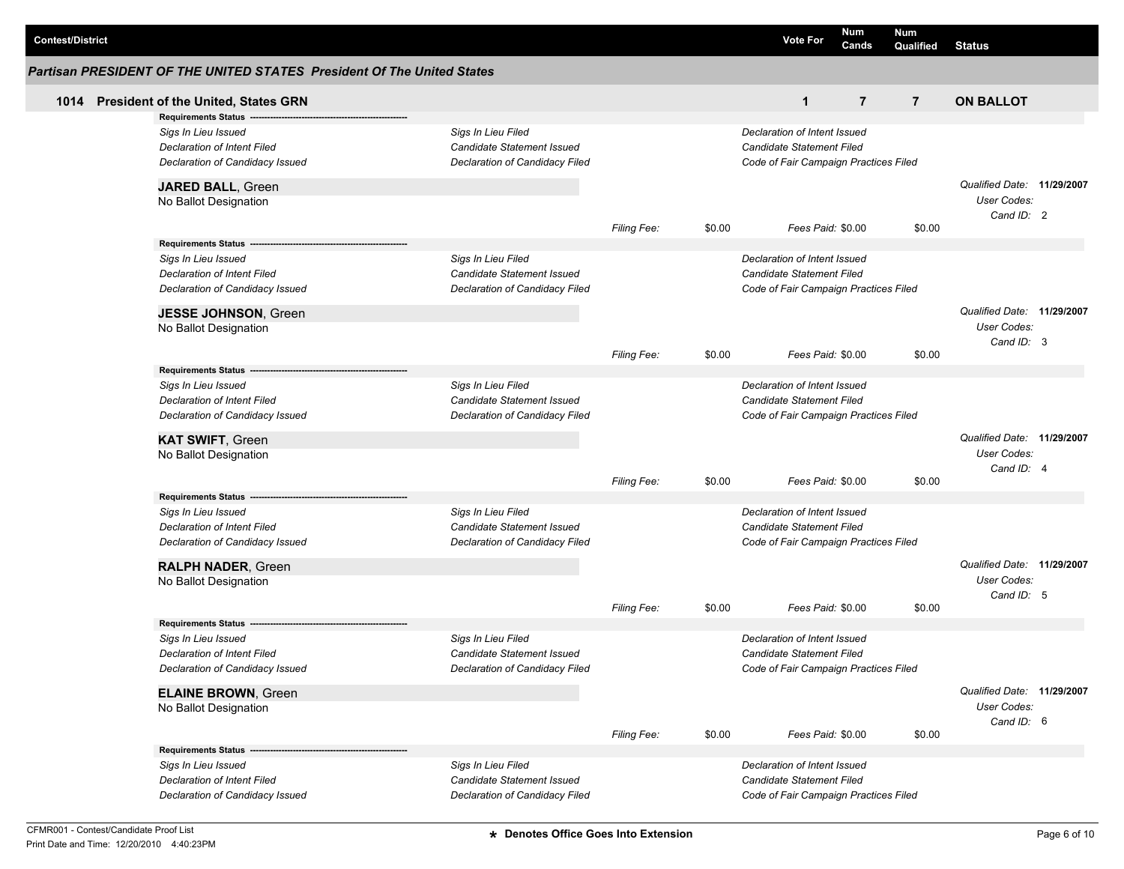| <b>Contest/District</b> |                                                                        |                                                  |                    |        | <b>Vote For</b>                                           | Num<br>Cands   | <b>Num</b><br>Qualified | <b>Status</b>              |  |
|-------------------------|------------------------------------------------------------------------|--------------------------------------------------|--------------------|--------|-----------------------------------------------------------|----------------|-------------------------|----------------------------|--|
|                         | Partisan PRESIDENT OF THE UNITED STATES President Of The United States |                                                  |                    |        |                                                           |                |                         |                            |  |
|                         | 1014 President of the United, States GRN                               |                                                  |                    |        | $\mathbf{1}$                                              | $\overline{7}$ | $\overline{7}$          | <b>ON BALLOT</b>           |  |
|                         | <b>Requirements Status</b>                                             |                                                  |                    |        |                                                           |                |                         |                            |  |
|                         | Sigs In Lieu Issued                                                    | Sigs In Lieu Filed                               |                    |        | Declaration of Intent Issued                              |                |                         |                            |  |
|                         | Declaration of Intent Filed                                            | Candidate Statement Issued                       |                    |        | Candidate Statement Filed                                 |                |                         |                            |  |
|                         | Declaration of Candidacy Issued                                        | Declaration of Candidacy Filed                   |                    |        | Code of Fair Campaign Practices Filed                     |                |                         |                            |  |
|                         | <b>JARED BALL, Green</b>                                               |                                                  |                    |        |                                                           |                |                         | Qualified Date: 11/29/2007 |  |
|                         | No Ballot Designation                                                  |                                                  |                    |        |                                                           |                |                         | User Codes:                |  |
|                         |                                                                        |                                                  |                    |        |                                                           |                |                         | Cand ID: 2                 |  |
|                         |                                                                        |                                                  | <b>Filing Fee:</b> | \$0.00 | Fees Paid: \$0.00                                         |                | \$0.00                  |                            |  |
|                         | <b>Requirements Status</b>                                             |                                                  |                    |        |                                                           |                |                         |                            |  |
|                         | Sigs In Lieu Issued<br>Declaration of Intent Filed                     | Sigs In Lieu Filed<br>Candidate Statement Issued |                    |        | Declaration of Intent Issued<br>Candidate Statement Filed |                |                         |                            |  |
|                         | Declaration of Candidacy Issued                                        | Declaration of Candidacy Filed                   |                    |        | Code of Fair Campaign Practices Filed                     |                |                         |                            |  |
|                         |                                                                        |                                                  |                    |        |                                                           |                |                         |                            |  |
|                         | <b>JESSE JOHNSON, Green</b>                                            |                                                  |                    |        |                                                           |                |                         | Qualified Date: 11/29/2007 |  |
|                         | No Ballot Designation                                                  |                                                  |                    |        |                                                           |                |                         | User Codes:                |  |
|                         |                                                                        |                                                  |                    |        |                                                           |                |                         | Cand ID: 3                 |  |
|                         | Requirements Status ----                                               |                                                  | Filing Fee:        | \$0.00 | Fees Paid: \$0.00                                         |                | \$0.00                  |                            |  |
|                         | Sigs In Lieu Issued                                                    | Sigs In Lieu Filed                               |                    |        | Declaration of Intent Issued                              |                |                         |                            |  |
|                         | Declaration of Intent Filed                                            | Candidate Statement Issued                       |                    |        | <b>Candidate Statement Filed</b>                          |                |                         |                            |  |
|                         | Declaration of Candidacy Issued                                        | Declaration of Candidacy Filed                   |                    |        | Code of Fair Campaign Practices Filed                     |                |                         |                            |  |
|                         |                                                                        |                                                  |                    |        |                                                           |                |                         |                            |  |
|                         | <b>KAT SWIFT, Green</b>                                                |                                                  |                    |        |                                                           |                |                         | Qualified Date: 11/29/2007 |  |
|                         | No Ballot Designation                                                  |                                                  |                    |        |                                                           |                |                         | User Codes:                |  |
|                         |                                                                        |                                                  | Filing Fee:        | \$0.00 | Fees Paid: \$0.00                                         |                | \$0.00                  | Cand ID: 4                 |  |
|                         | <b>Requirements Status</b>                                             |                                                  |                    |        |                                                           |                |                         |                            |  |
|                         | Sigs In Lieu Issued                                                    | Sigs In Lieu Filed                               |                    |        | Declaration of Intent Issued                              |                |                         |                            |  |
|                         | Declaration of Intent Filed                                            | Candidate Statement Issued                       |                    |        | Candidate Statement Filed                                 |                |                         |                            |  |
|                         | Declaration of Candidacy Issued                                        | Declaration of Candidacy Filed                   |                    |        | Code of Fair Campaign Practices Filed                     |                |                         |                            |  |
|                         |                                                                        |                                                  |                    |        |                                                           |                |                         | Qualified Date: 11/29/2007 |  |
|                         | <b>RALPH NADER, Green</b><br>No Ballot Designation                     |                                                  |                    |        |                                                           |                |                         | User Codes:                |  |
|                         |                                                                        |                                                  |                    |        |                                                           |                |                         | Cand ID: 5                 |  |
|                         |                                                                        |                                                  | <b>Filing Fee:</b> | \$0.00 | Fees Paid: \$0.00                                         |                | \$0.00                  |                            |  |
|                         | <b>Requirements Status</b>                                             |                                                  |                    |        |                                                           |                |                         |                            |  |
|                         | Sigs In Lieu Issued                                                    | Sigs In Lieu Filed                               |                    |        | Declaration of Intent Issued                              |                |                         |                            |  |
|                         | Declaration of Intent Filed                                            | Candidate Statement Issued                       |                    |        | Candidate Statement Filed                                 |                |                         |                            |  |
|                         | Declaration of Candidacy Issued                                        | Declaration of Candidacy Filed                   |                    |        | Code of Fair Campaign Practices Filed                     |                |                         |                            |  |
|                         | <b>ELAINE BROWN, Green</b>                                             |                                                  |                    |        |                                                           |                |                         | Qualified Date: 11/29/2007 |  |
|                         | No Ballot Designation                                                  |                                                  |                    |        |                                                           |                |                         | User Codes:                |  |
|                         |                                                                        |                                                  |                    |        |                                                           |                |                         | Cand ID: 6                 |  |
|                         |                                                                        |                                                  | <b>Filing Fee:</b> | \$0.00 | Fees Paid: \$0.00                                         |                | \$0.00                  |                            |  |
|                         | Requirements Status --------                                           |                                                  |                    |        |                                                           |                |                         |                            |  |
|                         | Sigs In Lieu Issued                                                    | Sigs In Lieu Filed                               |                    |        | Declaration of Intent Issued                              |                |                         |                            |  |
|                         | Declaration of Intent Filed                                            | Candidate Statement Issued                       |                    |        | Candidate Statement Filed                                 |                |                         |                            |  |
|                         | Declaration of Candidacy Issued                                        | Declaration of Candidacy Filed                   |                    |        | Code of Fair Campaign Practices Filed                     |                |                         |                            |  |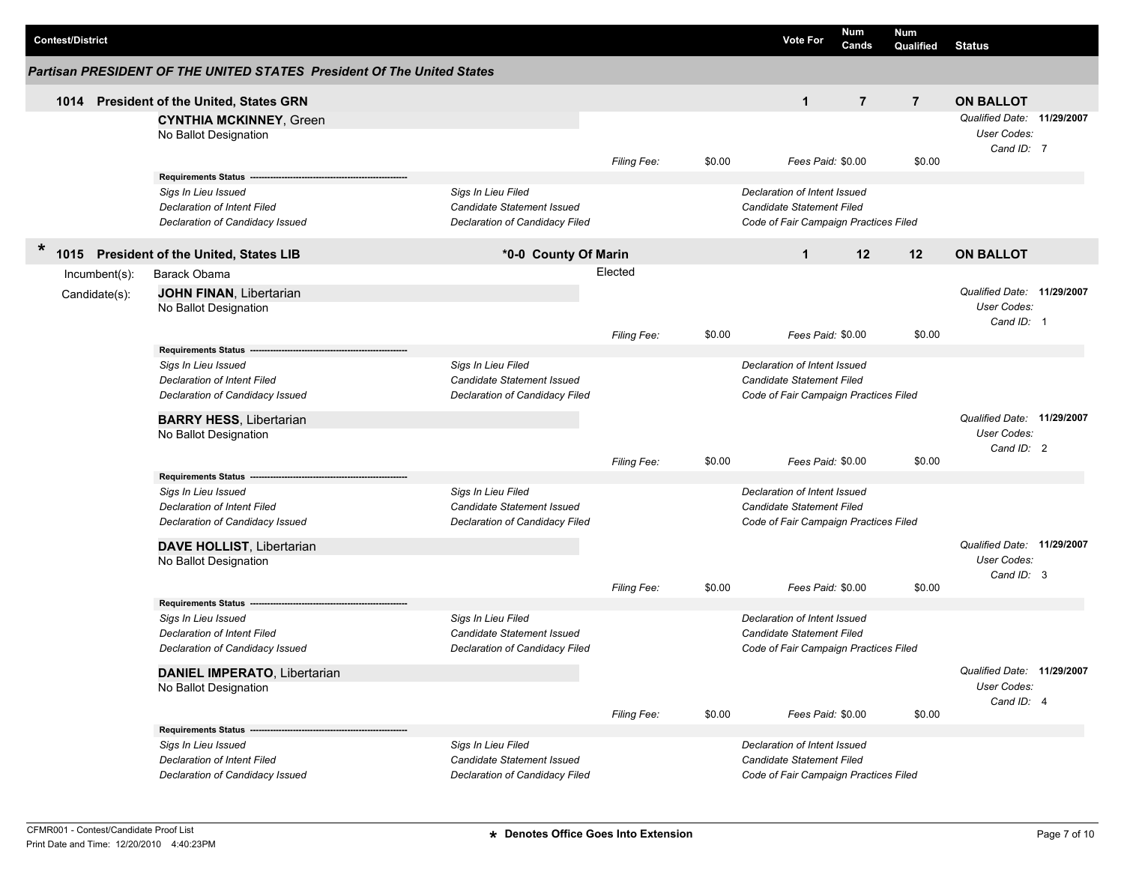| <b>Contest/District</b> |                                                                                                                                                                                  |                                                                                    |             |        | <b>Vote For</b>                                                                                           | <b>Num</b><br>Cands                                                   | Num<br>Qualified | <b>Status</b>                                           |  |
|-------------------------|----------------------------------------------------------------------------------------------------------------------------------------------------------------------------------|------------------------------------------------------------------------------------|-------------|--------|-----------------------------------------------------------------------------------------------------------|-----------------------------------------------------------------------|------------------|---------------------------------------------------------|--|
|                         | Partisan PRESIDENT OF THE UNITED STATES President Of The United States                                                                                                           |                                                                                    |             |        |                                                                                                           |                                                                       |                  |                                                         |  |
|                         | 1014 President of the United, States GRN                                                                                                                                         |                                                                                    |             |        | $\mathbf{1}$                                                                                              | $\overline{7}$                                                        | $\overline{7}$   | <b>ON BALLOT</b>                                        |  |
|                         | <b>CYNTHIA MCKINNEY, Green</b><br>No Ballot Designation                                                                                                                          |                                                                                    |             |        |                                                                                                           |                                                                       |                  | Qualified Date: 11/29/2007<br>User Codes:<br>Cand ID: 7 |  |
|                         |                                                                                                                                                                                  |                                                                                    | Filing Fee: | \$0.00 | Fees Paid: \$0.00                                                                                         |                                                                       | \$0.00           |                                                         |  |
|                         | <b>Requirements Status</b><br>Sigs In Lieu Issued<br>Declaration of Intent Filed<br>Declaration of Candidacy Issued                                                              | Sigs In Lieu Filed<br>Candidate Statement Issued<br>Declaration of Candidacy Filed |             |        | Declaration of Intent Issued<br><b>Candidate Statement Filed</b><br>Code of Fair Campaign Practices Filed |                                                                       |                  |                                                         |  |
| $\ast$                  | 1015 President of the United, States LIB                                                                                                                                         | *0-0 County Of Marin                                                               |             |        | $\mathbf{1}$                                                                                              | 12                                                                    | $12 \,$          | <b>ON BALLOT</b>                                        |  |
| Incumbent(s):           | Barack Obama                                                                                                                                                                     |                                                                                    | Elected     |        |                                                                                                           |                                                                       |                  |                                                         |  |
| Candidate(s):           | <b>JOHN FINAN, Libertarian</b><br>No Ballot Designation                                                                                                                          |                                                                                    |             |        |                                                                                                           |                                                                       |                  | Qualified Date: 11/29/2007<br>User Codes:<br>Cand ID: 1 |  |
|                         |                                                                                                                                                                                  |                                                                                    | Filing Fee: | \$0.00 | Fees Paid: \$0.00                                                                                         |                                                                       | \$0.00           |                                                         |  |
|                         | <b>Requirements Status</b><br>Sigs In Lieu Issued<br>Declaration of Intent Filed<br>Declaration of Candidacy Issued<br><b>BARRY HESS, Libertarian</b><br>No Ballot Designation   | Sigs In Lieu Filed<br>Candidate Statement Issued<br>Declaration of Candidacy Filed |             |        | Declaration of Intent Issued<br>Candidate Statement Filed<br>Code of Fair Campaign Practices Filed        |                                                                       |                  | Qualified Date: 11/29/2007<br>User Codes:<br>Cand ID: 2 |  |
|                         |                                                                                                                                                                                  |                                                                                    | Filing Fee: | \$0.00 | Fees Paid: \$0.00                                                                                         |                                                                       | \$0.00           |                                                         |  |
|                         | <b>Requirements Status</b><br>Sigs In Lieu Issued<br>Declaration of Intent Filed<br>Declaration of Candidacy Issued<br><b>DAVE HOLLIST, Libertarian</b><br>No Ballot Designation | Sigs In Lieu Filed<br>Candidate Statement Issued<br>Declaration of Candidacy Filed |             |        | <b>Candidate Statement Filed</b>                                                                          | Declaration of Intent Issued<br>Code of Fair Campaign Practices Filed |                  | Qualified Date: 11/29/2007<br>User Codes:               |  |
|                         |                                                                                                                                                                                  |                                                                                    | Filing Fee: | \$0.00 | Fees Paid: \$0.00                                                                                         |                                                                       | \$0.00           | Cand ID: 3                                              |  |
|                         | <b>Requirements Status</b>                                                                                                                                                       |                                                                                    |             |        |                                                                                                           |                                                                       |                  |                                                         |  |
|                         | Sigs In Lieu Issued<br>Declaration of Intent Filed<br>Declaration of Candidacy Issued                                                                                            | Sigs In Lieu Filed<br>Candidate Statement Issued<br>Declaration of Candidacy Filed |             |        | Declaration of Intent Issued<br>Candidate Statement Filed                                                 | Code of Fair Campaign Practices Filed                                 |                  |                                                         |  |
|                         | <b>DANIEL IMPERATO, Libertarian</b><br>No Ballot Designation                                                                                                                     |                                                                                    | Filing Fee: | \$0.00 | Fees Paid: \$0.00                                                                                         |                                                                       | \$0.00           | Qualified Date: 11/29/2007<br>User Codes:<br>Cand ID: 4 |  |
|                         | Requirements Status --<br>Sigs In Lieu Issued<br>Declaration of Intent Filed<br>Declaration of Candidacy Issued                                                                  | Sigs In Lieu Filed<br>Candidate Statement Issued<br>Declaration of Candidacy Filed |             |        | Declaration of Intent Issued<br>Candidate Statement Filed<br>Code of Fair Campaign Practices Filed        |                                                                       |                  |                                                         |  |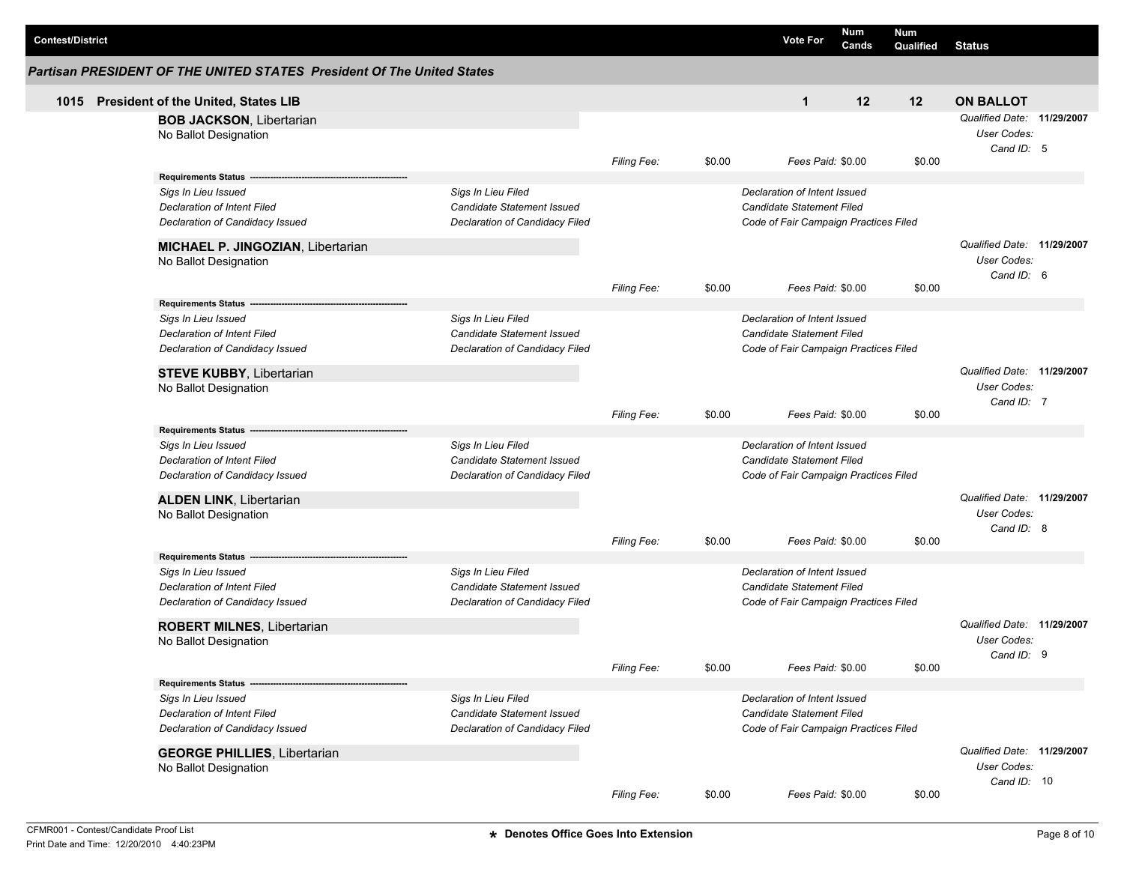| <b>Contest/District</b> |                                                                        |                                                              |                    |        | <b>Num</b><br><b>Vote For</b><br>Cands | Num<br>Qualified | <b>Status</b>                             |  |
|-------------------------|------------------------------------------------------------------------|--------------------------------------------------------------|--------------------|--------|----------------------------------------|------------------|-------------------------------------------|--|
|                         | Partisan PRESIDENT OF THE UNITED STATES President Of The United States |                                                              |                    |        |                                        |                  |                                           |  |
|                         | 1015 President of the United, States LIB                               |                                                              |                    |        | 12<br>$\mathbf{1}$                     | 12               | <b>ON BALLOT</b>                          |  |
|                         | <b>BOB JACKSON, Libertarian</b><br>No Ballot Designation               |                                                              |                    |        |                                        |                  | Qualified Date: 11/29/2007<br>User Codes: |  |
|                         |                                                                        |                                                              | <b>Filing Fee:</b> | \$0.00 | Fees Paid: \$0.00                      | \$0.00           | Cand ID: 5                                |  |
|                         | Requirements Status -                                                  |                                                              |                    |        |                                        |                  |                                           |  |
|                         | Sigs In Lieu Issued                                                    | Sigs In Lieu Filed                                           |                    |        | Declaration of Intent Issued           |                  |                                           |  |
|                         | Declaration of Intent Filed                                            | Candidate Statement Issued                                   |                    |        | Candidate Statement Filed              |                  |                                           |  |
|                         | Declaration of Candidacy Issued                                        | Declaration of Candidacy Filed                               |                    |        | Code of Fair Campaign Practices Filed  |                  |                                           |  |
|                         |                                                                        |                                                              |                    |        |                                        |                  |                                           |  |
|                         | <b>MICHAEL P. JINGOZIAN, Libertarian</b>                               |                                                              |                    |        |                                        |                  | Qualified Date: 11/29/2007                |  |
|                         | No Ballot Designation                                                  |                                                              |                    |        |                                        |                  | User Codes:<br>Cand ID: 6                 |  |
|                         |                                                                        |                                                              | <b>Filing Fee:</b> | \$0.00 | Fees Paid: \$0.00                      | \$0.00           |                                           |  |
|                         | <b>Requirements Status --</b>                                          |                                                              |                    |        |                                        |                  |                                           |  |
|                         | Sigs In Lieu Issued                                                    | Sigs In Lieu Filed                                           |                    |        | Declaration of Intent Issued           |                  |                                           |  |
|                         | Declaration of Intent Filed                                            | Candidate Statement Issued                                   |                    |        | Candidate Statement Filed              |                  |                                           |  |
|                         | Declaration of Candidacy Issued                                        | Declaration of Candidacy Filed                               |                    |        | Code of Fair Campaign Practices Filed  |                  |                                           |  |
|                         | <b>STEVE KUBBY, Libertarian</b>                                        |                                                              |                    |        |                                        |                  | Qualified Date: 11/29/2007                |  |
|                         | No Ballot Designation                                                  |                                                              |                    |        |                                        |                  | User Codes:                               |  |
|                         |                                                                        |                                                              |                    |        |                                        |                  | Cand ID: 7                                |  |
|                         |                                                                        |                                                              | Filing Fee:        | \$0.00 | Fees Paid: \$0.00                      | \$0.00           |                                           |  |
|                         | <b>Requirements Status</b>                                             |                                                              |                    |        |                                        |                  |                                           |  |
|                         | Sigs In Lieu Issued                                                    | Sigs In Lieu Filed                                           |                    |        | Declaration of Intent Issued           |                  |                                           |  |
|                         | Declaration of Intent Filed                                            | Candidate Statement Issued                                   |                    |        | Candidate Statement Filed              |                  |                                           |  |
|                         | Declaration of Candidacy Issued                                        | Declaration of Candidacy Filed                               |                    |        | Code of Fair Campaign Practices Filed  |                  |                                           |  |
|                         | <b>ALDEN LINK, Libertarian</b>                                         |                                                              |                    |        |                                        |                  | Qualified Date: 11/29/2007                |  |
|                         | No Ballot Designation                                                  |                                                              |                    |        |                                        |                  | User Codes:                               |  |
|                         |                                                                        |                                                              | Filing Fee:        | \$0.00 | Fees Paid: \$0.00                      | \$0.00           | Cand ID: 8                                |  |
|                         | Requirements Status --                                                 |                                                              |                    |        |                                        |                  |                                           |  |
|                         | Sigs In Lieu Issued                                                    | Sigs In Lieu Filed                                           |                    |        | Declaration of Intent Issued           |                  |                                           |  |
|                         | Declaration of Intent Filed                                            | Candidate Statement Issued                                   |                    |        | Candidate Statement Filed              |                  |                                           |  |
|                         | Declaration of Candidacy Issued                                        | Declaration of Candidacy Filed                               |                    |        | Code of Fair Campaign Practices Filed  |                  |                                           |  |
|                         | <b>ROBERT MILNES, Libertarian</b>                                      |                                                              |                    |        |                                        |                  | Qualified Date: 11/29/2007                |  |
|                         | No Ballot Designation                                                  |                                                              |                    |        |                                        |                  | User Codes:                               |  |
|                         |                                                                        |                                                              |                    |        |                                        |                  | Cand ID: 9                                |  |
|                         |                                                                        |                                                              | Filing Fee:        | \$0.00 | Fees Paid: \$0.00                      | \$0.00           |                                           |  |
|                         | Requirements Status --<br>Sigs In Lieu Issued                          | Sigs In Lieu Filed                                           |                    |        | Declaration of Intent Issued           |                  |                                           |  |
|                         | Declaration of Intent Filed                                            |                                                              |                    |        | Candidate Statement Filed              |                  |                                           |  |
|                         | Declaration of Candidacy Issued                                        | Candidate Statement Issued<br>Declaration of Candidacy Filed |                    |        | Code of Fair Campaign Practices Filed  |                  |                                           |  |
|                         |                                                                        |                                                              |                    |        |                                        |                  |                                           |  |
|                         | <b>GEORGE PHILLIES, Libertarian</b>                                    |                                                              |                    |        |                                        |                  | Qualified Date: 11/29/2007                |  |
|                         | No Ballot Designation                                                  |                                                              |                    |        |                                        |                  | User Codes:                               |  |
|                         |                                                                        |                                                              | Filing Fee:        | \$0.00 | Fees Paid: \$0.00                      |                  | Cand ID: 10                               |  |
|                         |                                                                        |                                                              |                    |        |                                        | \$0.00           |                                           |  |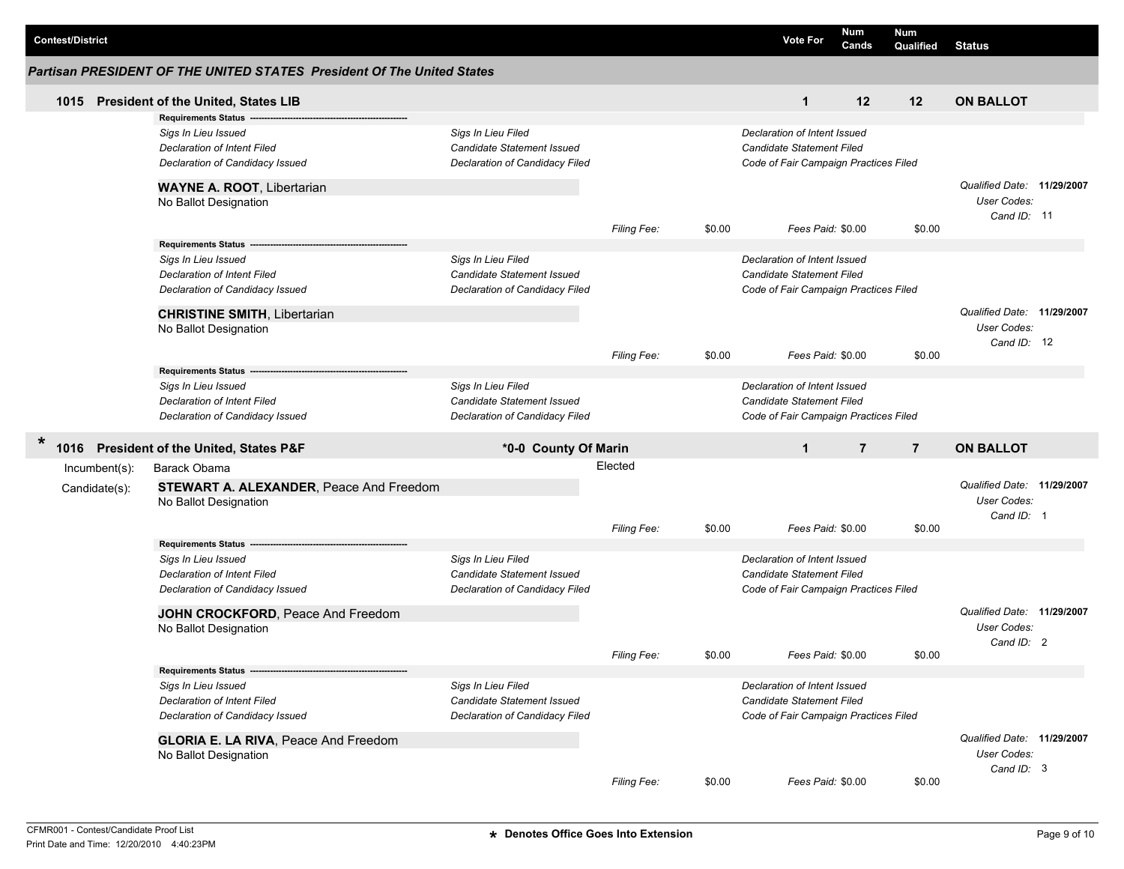| <b>Contest/District</b> |                  |                                                                        |                                |                    |        | <b>Vote For</b>                       | Num<br>Cands   | Num<br>Qualified | <b>Status</b>              |  |
|-------------------------|------------------|------------------------------------------------------------------------|--------------------------------|--------------------|--------|---------------------------------------|----------------|------------------|----------------------------|--|
|                         |                  | Partisan PRESIDENT OF THE UNITED STATES President Of The United States |                                |                    |        |                                       |                |                  |                            |  |
|                         |                  | 1015 President of the United, States LIB                               |                                |                    |        | $\mathbf 1$                           | 12             | 12               | <b>ON BALLOT</b>           |  |
|                         |                  | <b>Requirements Status</b>                                             |                                |                    |        |                                       |                |                  |                            |  |
|                         |                  | Sigs In Lieu Issued                                                    | Sigs In Lieu Filed             |                    |        | Declaration of Intent Issued          |                |                  |                            |  |
|                         |                  | Declaration of Intent Filed                                            | Candidate Statement Issued     |                    |        | Candidate Statement Filed             |                |                  |                            |  |
|                         |                  | Declaration of Candidacy Issued                                        | Declaration of Candidacy Filed |                    |        | Code of Fair Campaign Practices Filed |                |                  |                            |  |
|                         |                  | <b>WAYNE A. ROOT, Libertarian</b>                                      |                                |                    |        |                                       |                |                  | Qualified Date: 11/29/2007 |  |
|                         |                  | No Ballot Designation                                                  |                                |                    |        |                                       |                |                  | User Codes:                |  |
|                         |                  |                                                                        |                                |                    |        |                                       |                |                  | Cand ID: 11                |  |
|                         |                  |                                                                        |                                | <b>Filing Fee:</b> | \$0.00 | Fees Paid: \$0.00                     |                | \$0.00           |                            |  |
|                         |                  | <b>Requirements Status</b>                                             |                                |                    |        |                                       |                |                  |                            |  |
|                         |                  | Sigs In Lieu Issued                                                    | Sigs In Lieu Filed             |                    |        | Declaration of Intent Issued          |                |                  |                            |  |
|                         |                  | Declaration of Intent Filed                                            | Candidate Statement Issued     |                    |        | Candidate Statement Filed             |                |                  |                            |  |
|                         |                  | Declaration of Candidacy Issued                                        | Declaration of Candidacy Filed |                    |        | Code of Fair Campaign Practices Filed |                |                  |                            |  |
|                         |                  | <b>CHRISTINE SMITH, Libertarian</b>                                    |                                |                    |        |                                       |                |                  | Qualified Date: 11/29/2007 |  |
|                         |                  | No Ballot Designation                                                  |                                |                    |        |                                       |                |                  | User Codes:                |  |
|                         |                  |                                                                        |                                |                    |        |                                       |                |                  | Cand ID: 12                |  |
|                         |                  |                                                                        |                                | Filing Fee:        | \$0.00 | Fees Paid: \$0.00                     |                | \$0.00           |                            |  |
|                         |                  | <b>Requirements Status</b>                                             |                                |                    |        |                                       |                |                  |                            |  |
|                         |                  | Sigs In Lieu Issued                                                    | Sigs In Lieu Filed             |                    |        | Declaration of Intent Issued          |                |                  |                            |  |
|                         |                  | Declaration of Intent Filed                                            | Candidate Statement Issued     |                    |        | Candidate Statement Filed             |                |                  |                            |  |
|                         |                  | Declaration of Candidacy Issued                                        | Declaration of Candidacy Filed |                    |        | Code of Fair Campaign Practices Filed |                |                  |                            |  |
| $\ast$<br>1016          |                  | <b>President of the United, States P&amp;F</b>                         | *0-0 County Of Marin           |                    |        | $\mathbf{1}$                          | $\overline{7}$ | $\overline{7}$   | <b>ON BALLOT</b>           |  |
|                         | $Incumbent(s)$ : | Barack Obama                                                           |                                | Elected            |        |                                       |                |                  |                            |  |
|                         |                  |                                                                        |                                |                    |        |                                       |                |                  | Qualified Date: 11/29/2007 |  |
|                         | Candidate(s):    | STEWART A. ALEXANDER, Peace And Freedom                                |                                |                    |        |                                       |                |                  | User Codes:                |  |
|                         |                  | No Ballot Designation                                                  |                                |                    |        |                                       |                |                  | Cand ID: 1                 |  |
|                         |                  |                                                                        |                                | Filing Fee:        | \$0.00 | Fees Paid: \$0.00                     |                | \$0.00           |                            |  |
|                         |                  | <b>Requirements Status</b>                                             |                                |                    |        |                                       |                |                  |                            |  |
|                         |                  | Sigs In Lieu Issued                                                    | Sigs In Lieu Filed             |                    |        | Declaration of Intent Issued          |                |                  |                            |  |
|                         |                  | Declaration of Intent Filed                                            | Candidate Statement Issued     |                    |        | Candidate Statement Filed             |                |                  |                            |  |
|                         |                  | Declaration of Candidacy Issued                                        | Declaration of Candidacy Filed |                    |        | Code of Fair Campaign Practices Filed |                |                  |                            |  |
|                         |                  |                                                                        |                                |                    |        |                                       |                |                  |                            |  |
|                         |                  | JOHN CROCKFORD, Peace And Freedom                                      |                                |                    |        |                                       |                |                  | Qualified Date: 11/29/2007 |  |
|                         |                  | No Ballot Designation                                                  |                                |                    |        |                                       |                |                  | User Codes:                |  |
|                         |                  |                                                                        |                                |                    |        |                                       |                |                  | Cand ID: 2                 |  |
|                         |                  |                                                                        |                                | Filing Fee:        | \$0.00 | Fees Paid: \$0.00                     |                | \$0.00           |                            |  |
|                         |                  | Requirements Status ---                                                |                                |                    |        |                                       |                |                  |                            |  |
|                         |                  | Sigs In Lieu Issued                                                    | Sigs In Lieu Filed             |                    |        | Declaration of Intent Issued          |                |                  |                            |  |
|                         |                  | Declaration of Intent Filed                                            | Candidate Statement Issued     |                    |        | Candidate Statement Filed             |                |                  |                            |  |
|                         |                  | Declaration of Candidacy Issued                                        | Declaration of Candidacy Filed |                    |        | Code of Fair Campaign Practices Filed |                |                  |                            |  |
|                         |                  | <b>GLORIA E. LA RIVA, Peace And Freedom</b>                            |                                |                    |        |                                       |                |                  | Qualified Date: 11/29/2007 |  |
|                         |                  | No Ballot Designation                                                  |                                |                    |        |                                       |                |                  | User Codes:                |  |
|                         |                  |                                                                        |                                |                    |        |                                       |                |                  | Cand ID: 3                 |  |
|                         |                  |                                                                        |                                | Filing Fee:        | \$0.00 | Fees Paid: \$0.00                     |                | \$0.00           |                            |  |